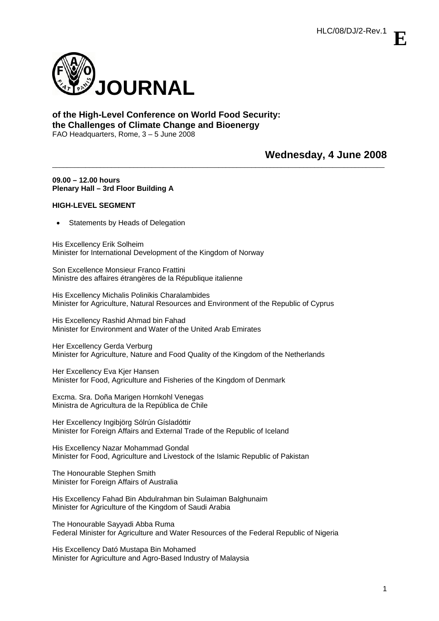**E**



# **of the High-Level Conference on World Food Security: the Challenges of Climate Change and Bioenergy**  FAO Headquarters, Rome, 3 – 5 June 2008

**Wednesday, 4 June 2008** 

# **09.00 – 12.00 hours Plenary Hall – 3rd Floor Building A**

# **HIGH-LEVEL SEGMENT**

Statements by Heads of Delegation

His Excellency Erik Solheim Minister for International Development of the Kingdom of Norway

Son Excellence Monsieur Franco Frattini Ministre des affaires étrangères de la République italienne

His Excellency Michalis Polinikis Charalambides Minister for Agriculture, Natural Resources and Environment of the Republic of Cyprus

\_\_\_\_\_\_\_\_\_\_\_\_\_\_\_\_\_\_\_\_\_\_\_\_\_\_\_\_\_\_\_\_\_\_\_\_\_\_\_\_\_\_\_\_\_\_\_\_\_\_\_\_\_\_\_\_\_\_\_\_\_\_\_\_\_\_\_\_\_\_\_\_\_\_\_\_\_\_\_\_\_\_\_\_\_\_\_\_\_\_

His Excellency Rashid Ahmad bin Fahad Minister for Environment and Water of the United Arab Emirates

Her Excellency Gerda Verburg Minister for Agriculture, Nature and Food Quality of the Kingdom of the Netherlands

Her Excellency Eva Kjer Hansen Minister for Food, Agriculture and Fisheries of the Kingdom of Denmark

Excma. Sra. Doña Marigen Hornkohl Venegas Ministra de Agricultura de la República de Chile

Her Excellency Ingibjörg Sólrún Gísladóttir Minister for Foreign Affairs and External Trade of the Republic of Iceland

His Excellency Nazar Mohammad Gondal Minister for Food, Agriculture and Livestock of the Islamic Republic of Pakistan

The Honourable Stephen Smith Minister for Foreign Affairs of Australia

His Excellency Fahad Bin Abdulrahman bin Sulaiman Balghunaim Minister for Agriculture of the Kingdom of Saudi Arabia

The Honourable Sayyadi Abba Ruma Federal Minister for Agriculture and Water Resources of the Federal Republic of Nigeria

His Excellency Dató Mustapa Bin Mohamed Minister for Agriculture and Agro-Based Industry of Malaysia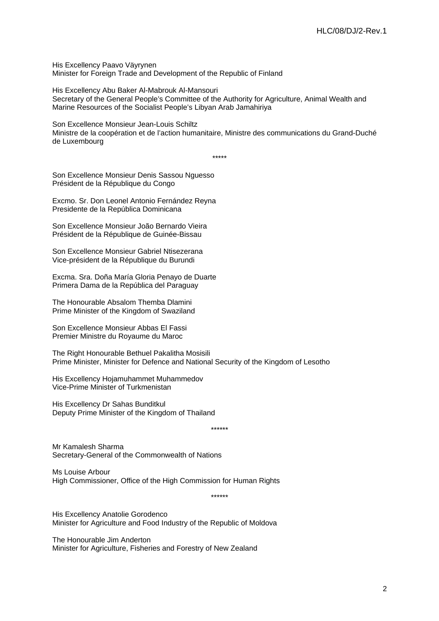His Excellency Paavo Väyrynen Minister for Foreign Trade and Development of the Republic of Finland

His Excellency Abu Baker Al-Mabrouk Al-Mansouri Secretary of the General People's Committee of the Authority for Agriculture, Animal Wealth and Marine Resources of the Socialist People's Libyan Arab Jamahiriya

Son Excellence Monsieur Jean-Louis Schiltz Ministre de la coopération et de l'action humanitaire, Ministre des communications du Grand-Duché de Luxembourg

\*\*\*\*\*

Son Excellence Monsieur Denis Sassou Nguesso Président de la République du Congo

Excmo. Sr. Don Leonel Antonio Fernández Reyna Presidente de la República Dominicana

Son Excellence Monsieur João Bernardo Vieira Président de la République de Guinée-Bissau

Son Excellence Monsieur Gabriel Ntisezerana Vice-président de la République du Burundi

Excma. Sra. Doña María Gloria Penayo de Duarte Primera Dama de la República del Paraguay

The Honourable Absalom Themba Dlamini Prime Minister of the Kingdom of Swaziland

Son Excellence Monsieur Abbas El Fassi Premier Ministre du Royaume du Maroc

The Right Honourable Bethuel Pakalitha Mosisili Prime Minister, Minister for Defence and National Security of the Kingdom of Lesotho

His Excellency Hojamuhammet Muhammedov Vice-Prime Minister of Turkmenistan

His Excellency Dr Sahas Bunditkul Deputy Prime Minister of the Kingdom of Thailand

\*\*\*\*\*\*

Mr Kamalesh Sharma Secretary-General of the Commonwealth of Nations

Ms Louise Arbour High Commissioner, Office of the High Commission for Human Rights

\*\*\*\*\*\*

His Excellency Anatolie Gorodenco Minister for Agriculture and Food Industry of the Republic of Moldova

The Honourable Jim Anderton Minister for Agriculture, Fisheries and Forestry of New Zealand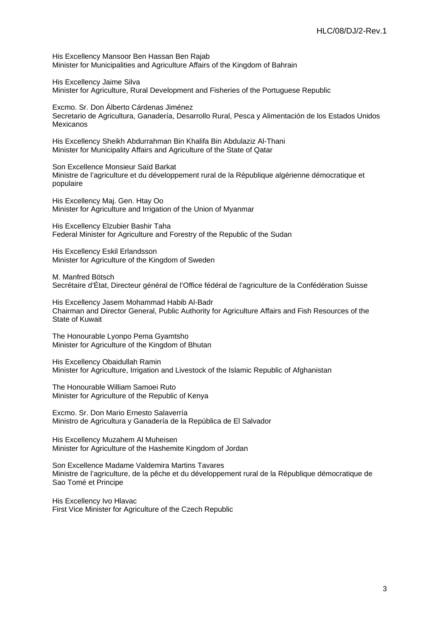His Excellency Mansoor Ben Hassan Ben Rajab Minister for Municipalities and Agriculture Affairs of the Kingdom of Bahrain

His Excellency Jaime Silva Minister for Agriculture, Rural Development and Fisheries of the Portuguese Republic

Excmo. Sr. Don Álberto Cárdenas Jiménez Secretario de Agricultura, Ganadería, Desarrollo Rural, Pesca y Alimentación de los Estados Unidos Mexicanos

His Excellency Sheikh Abdurrahman Bin Khalifa Bin Abdulaziz Al-Thani Minister for Municipality Affairs and Agriculture of the State of Qatar

Son Excellence Monsieur Saïd Barkat Ministre de l'agriculture et du développement rural de la République algérienne démocratique et populaire

His Excellency Maj. Gen. Htay Oo Minister for Agriculture and Irrigation of the Union of Myanmar

His Excellency Elzubier Bashir Taha Federal Minister for Agriculture and Forestry of the Republic of the Sudan

His Excellency Eskil Erlandsson Minister for Agriculture of the Kingdom of Sweden

M. Manfred Bötsch Secrétaire d'État, Directeur général de l'Office fédéral de l'agriculture de la Confédération Suisse

His Excellency Jasem Mohammad Habib Al-Badr Chairman and Director General, Public Authority for Agriculture Affairs and Fish Resources of the State of Kuwait

The Honourable Lyonpo Pema Gyamtsho Minister for Agriculture of the Kingdom of Bhutan

His Excellency Obaidullah Ramin Minister for Agriculture, Irrigation and Livestock of the Islamic Republic of Afghanistan

The Honourable William Samoei Ruto Minister for Agriculture of the Republic of Kenya

Excmo. Sr. Don Mario Ernesto Salaverría Ministro de Agricultura y Ganadería de la República de El Salvador

His Excellency Muzahem Al Muheisen Minister for Agriculture of the Hashemite Kingdom of Jordan

Son Excellence Madame Valdemira Martins Tavares Ministre de l'agriculture, de la pêche et du développement rural de la République démocratique de Sao Tomé et Principe

His Excellency Ivo Hlavac First Vice Minister for Agriculture of the Czech Republic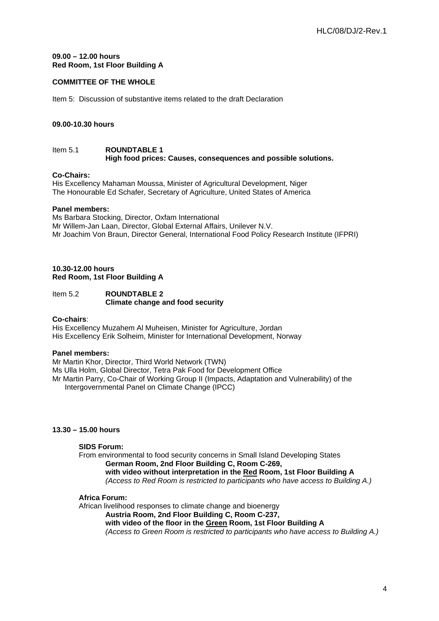# **09.00 – 12.00 hours Red Room, 1st Floor Building A**

# **COMMITTEE OF THE WHOLE**

Item 5: Discussion of substantive items related to the draft Declaration

# **09.00-10.30 hours**

## Item 5.1 **ROUNDTABLE 1 High food prices: Causes, consequences and possible solutions.**

# **Co-Chairs:**

His Excellency Mahaman Moussa, Minister of Agricultural Development, Niger The Honourable Ed Schafer, Secretary of Agriculture, United States of America

# **Panel members:**

Ms Barbara Stocking, Director, Oxfam International Mr Willem-Jan Laan, Director, Global External Affairs, Unilever N.V. Mr Joachim Von Braun, Director General, International Food Policy Research Institute (IFPRI)

# **10.30-12.00 hours Red Room, 1st Floor Building A**

# Item 5.2 **ROUNDTABLE 2 Climate change and food security**

## **Co-chairs**:

His Excellency Muzahem Al Muheisen, Minister for Agriculture, Jordan His Excellency Erik Solheim, Minister for International Development, Norway

# **Panel members:**

Mr Martin Khor, Director, Third World Network (TWN) Ms Ulla Holm, Global Director, Tetra Pak Food for Development Office Mr Martin Parry, Co-Chair of Working Group II (Impacts, Adaptation and Vulnerability) of the Intergovernmental Panel on Climate Change (IPCC)

# **13.30 – 15.00 hours**

#### **SIDS Forum:**

From environmental to food security concerns in Small Island Developing States **German Room, 2nd Floor Building C, Room C-269, with video without interpretation in the Red Room, 1st Floor Building A**  *(Access to Red Room is restricted to participants who have access to Building A.)* 

# **Africa Forum:**

African livelihood responses to climate change and bioenergy

**Austria Room, 2nd Floor Building C, Room C-237,** 

**with video of the floor in the Green Room, 1st Floor Building A** 

*(Access to Green Room is restricted to participants who have access to Building A.)*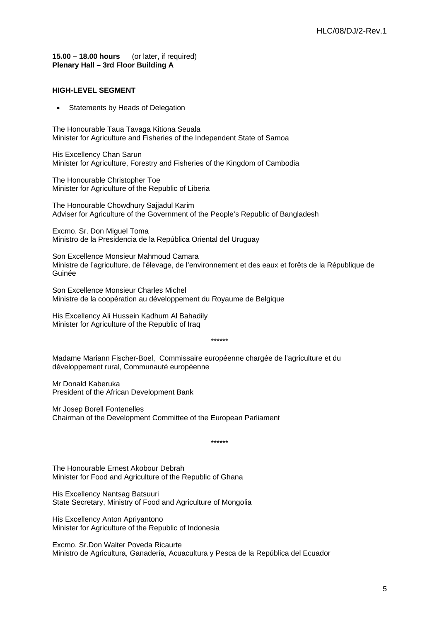**15.00 – 18.00 hours** (or later, if required) **Plenary Hall – 3rd Floor Building A** 

# **HIGH-LEVEL SEGMENT**

• Statements by Heads of Delegation

The Honourable Taua Tavaga Kitiona Seuala Minister for Agriculture and Fisheries of the Independent State of Samoa

His Excellency Chan Sarun Minister for Agriculture, Forestry and Fisheries of the Kingdom of Cambodia

The Honourable Christopher Toe Minister for Agriculture of the Republic of Liberia

The Honourable Chowdhury Sajjadul Karim Adviser for Agriculture of the Government of the People's Republic of Bangladesh

Excmo. Sr. Don Miguel Toma Ministro de la Presidencia de la República Oriental del Uruguay

Son Excellence Monsieur Mahmoud Camara Ministre de l'agriculture, de l'élevage, de l'environnement et des eaux et forêts de la République de Guinée

Son Excellence Monsieur Charles Michel Ministre de la coopération au développement du Royaume de Belgique

His Excellency Ali Hussein Kadhum Al Bahadily Minister for Agriculture of the Republic of Iraq

\*\*\*\*\*\*

Madame Mariann Fischer-Boel, Commissaire européenne chargée de l'agriculture et du développement rural, Communauté européenne

Mr Donald Kaberuka President of the African Development Bank

Mr Josep Borell Fontenelles Chairman of the Development Committee of the European Parliament

\*\*\*\*\*\*

The Honourable Ernest Akobour Debrah Minister for Food and Agriculture of the Republic of Ghana

His Excellency Nantsag Batsuuri State Secretary, Ministry of Food and Agriculture of Mongolia

His Excellency Anton Apriyantono Minister for Agriculture of the Republic of Indonesia

Excmo. Sr.Don Walter Poveda Ricaurte Ministro de Agricultura, Ganadería, Acuacultura y Pesca de la República del Ecuador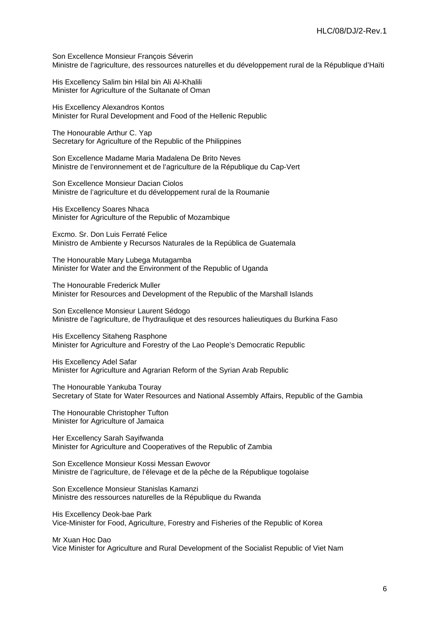Son Excellence Monsieur François Séverin Ministre de l'agriculture, des ressources naturelles et du développement rural de la République d'Haïti

His Excellency Salim bin Hilal bin Ali Al-Khalili Minister for Agriculture of the Sultanate of Oman

His Excellency Alexandros Kontos Minister for Rural Development and Food of the Hellenic Republic

The Honourable Arthur C. Yap Secretary for Agriculture of the Republic of the Philippines

Son Excellence Madame Maria Madalena De Brito Neves Ministre de l'environnement et de l'agriculture de la République du Cap-Vert

Son Excellence Monsieur Dacian Ciolos Ministre de l'agriculture et du développement rural de la Roumanie

His Excellency Soares Nhaca Minister for Agriculture of the Republic of Mozambique

Excmo. Sr. Don Luis Ferraté Felice Ministro de Ambiente y Recursos Naturales de la República de Guatemala

The Honourable Mary Lubega Mutagamba Minister for Water and the Environment of the Republic of Uganda

The Honourable Frederick Muller Minister for Resources and Development of the Republic of the Marshall Islands

Son Excellence Monsieur Laurent Sédogo Ministre de l'agriculture, de l'hydraulique et des resources halieutiques du Burkina Faso

His Excellency Sitaheng Rasphone Minister for Agriculture and Forestry of the Lao People's Democratic Republic

His Excellency Adel Safar Minister for Agriculture and Agrarian Reform of the Syrian Arab Republic

The Honourable Yankuba Touray Secretary of State for Water Resources and National Assembly Affairs, Republic of the Gambia

The Honourable Christopher Tufton Minister for Agriculture of Jamaica

Her Excellency Sarah Sayifwanda Minister for Agriculture and Cooperatives of the Republic of Zambia

Son Excellence Monsieur Kossi Messan Ewovor Ministre de l'agriculture, de l'élevage et de la pêche de la République togolaise

Son Excellence Monsieur Stanislas Kamanzi Ministre des ressources naturelles de la République du Rwanda

His Excellency Deok-bae Park Vice-Minister for Food, Agriculture, Forestry and Fisheries of the Republic of Korea

Mr Xuan Hoc Dao

Vice Minister for Agriculture and Rural Development of the Socialist Republic of Viet Nam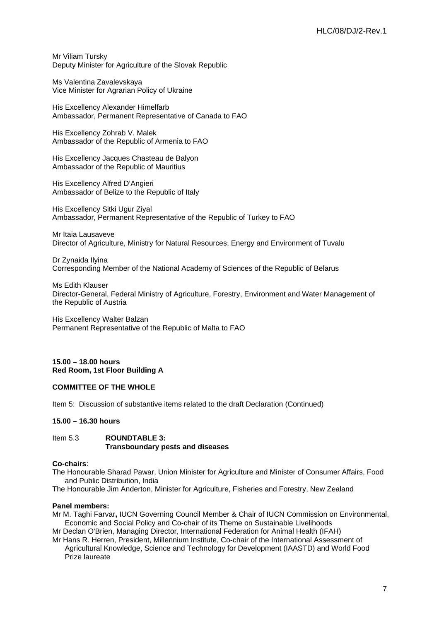Mr Viliam Tursky Deputy Minister for Agriculture of the Slovak Republic

Ms Valentina Zavalevskaya Vice Minister for Agrarian Policy of Ukraine

His Excellency Alexander Himelfarb Ambassador, Permanent Representative of Canada to FAO

His Excellency Zohrab V. Malek Ambassador of the Republic of Armenia to FAO

His Excellency Jacques Chasteau de Balyon Ambassador of the Republic of Mauritius

His Excellency Alfred D'Angieri Ambassador of Belize to the Republic of Italy

His Excellency Sitki Ugur Ziyal Ambassador, Permanent Representative of the Republic of Turkey to FAO

Mr Itaia Lausaveve Director of Agriculture, Ministry for Natural Resources, Energy and Environment of Tuvalu

Dr Zynaida Ilyina Corresponding Member of the National Academy of Sciences of the Republic of Belarus

Ms Edith Klauser Director-General, Federal Ministry of Agriculture, Forestry, Environment and Water Management of the Republic of Austria

His Excellency Walter Balzan Permanent Representative of the Republic of Malta to FAO

**15.00 – 18.00 hours Red Room, 1st Floor Building A** 

#### **COMMITTEE OF THE WHOLE**

Item 5: Discussion of substantive items related to the draft Declaration (Continued)

## **15.00 – 16.30 hours**

#### Item 5.3 **ROUNDTABLE 3: Transboundary pests and diseases**

#### **Co-chairs**:

The Honourable Sharad Pawar, Union Minister for Agriculture and Minister of Consumer Affairs, Food and Public Distribution, India

The Honourable Jim Anderton, Minister for Agriculture, Fisheries and Forestry, New Zealand

#### **Panel members:**

Mr M. Taghi Farvar**,** IUCN Governing Council Member & Chair of IUCN Commission on Environmental, Economic and Social Policy and Co-chair of its Theme on Sustainable Livelihoods

Mr Declan O'Brien, Managing Director, International Federation for Animal Health (IFAH)

Mr Hans R. Herren, President, Millennium Institute, Co-chair of the International Assessment of Agricultural Knowledge, Science and Technology for Development (IAASTD) and World Food Prize laureate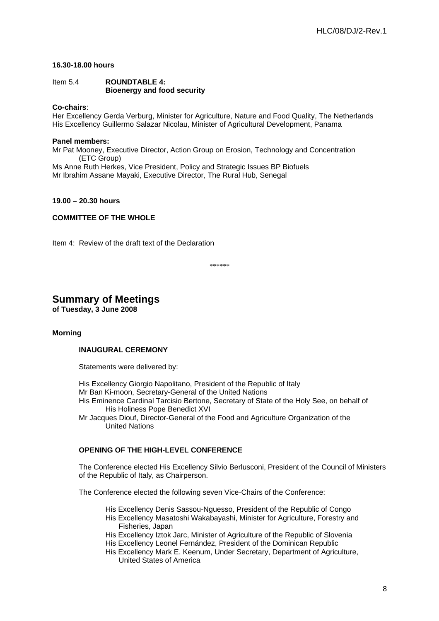# **16.30-18.00 hours**

## Item 5.4 **ROUNDTABLE 4: Bioenergy and food security**

## **Co-chairs**:

Her Excellency Gerda Verburg, Minister for Agriculture, Nature and Food Quality, The Netherlands His Excellency Guillermo Salazar Nicolau, Minister of Agricultural Development, Panama

# **Panel members:**

Mr Pat Mooney, Executive Director, Action Group on Erosion, Technology and Concentration (ETC Group) Ms Anne Ruth Herkes, Vice President, Policy and Strategic Issues BP Biofuels Mr Ibrahim Assane Mayaki, Executive Director, The Rural Hub, Senegal

#### **19.00 – 20.30 hours**

# **COMMITTEE OF THE WHOLE**

Item 4: Review of the draft text of the Declaration

\*\*\*\*\*\*

# **Summary of Meetings**

**of Tuesday, 3 June 2008** 

#### **Morning**

#### **INAUGURAL CEREMONY**

Statements were delivered by:

His Excellency Giorgio Napolitano, President of the Republic of Italy Mr Ban Ki-moon, Secretary-General of the United Nations His Eminence Cardinal Tarcisio Bertone, Secretary of State of the Holy See, on behalf of His Holiness Pope Benedict XVI Mr Jacques Diouf, Director-General of the Food and Agriculture Organization of the United Nations

# **OPENING OF THE HIGH-LEVEL CONFERENCE**

The Conference elected His Excellency Silvio Berlusconi, President of the Council of Ministers of the Republic of Italy, as Chairperson.

The Conference elected the following seven Vice-Chairs of the Conference:

His Excellency Denis Sassou-Nguesso, President of the Republic of Congo His Excellency Masatoshi Wakabayashi, Minister for Agriculture, Forestry and Fisheries, Japan

His Excellency Iztok Jarc, Minister of Agriculture of the Republic of Slovenia His Excellency Leonel Fernández, President of the Dominican Republic

His Excellency Mark E. Keenum, Under Secretary, Department of Agriculture, United States of America